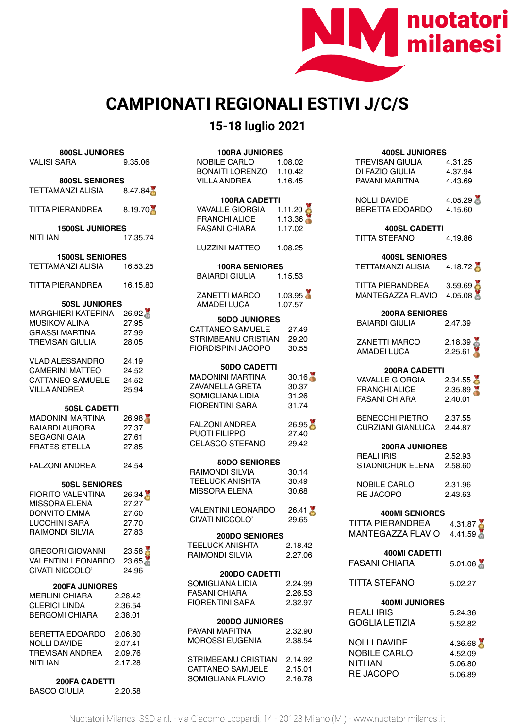

## **CAMPIONATI REGIONALI ESTIVI J/C/S**

## **15-18 luglio 2021**

| 800SL JUNIORES<br><b>VALISI SARA</b>                                                                                                              | 9.35.06                                   |  |
|---------------------------------------------------------------------------------------------------------------------------------------------------|-------------------------------------------|--|
| <b>800SL SENIORES</b><br>TETTAMANZI ALISIA 8.47.84                                                                                                |                                           |  |
| TITTA PIERANDREA                                                                                                                                  | 8.19.70                                   |  |
| <b>1500SL JUNIORES</b><br>NITI IAN<br>17.35.74                                                                                                    |                                           |  |
| <b>1500SL SENIORES</b><br><b>TETTAMANZI ALISIA</b>                                                                                                | 16.53.25                                  |  |
| TITTA PIERANDREA 16.15.80                                                                                                                         |                                           |  |
| <b>50SL JUNIORES</b><br>MARGHIERI KATERINA 26.92<br>یں دی v ALINA<br>GRASSI MARTINA<br>TREVISAN ⊆<br><b>TREVISAN GIULIA</b>                       | 27.95<br>27.99<br>28.05<br>24.19          |  |
| VLAD ALESSANDRO<br>CAMERINI MATTEO<br><b>CAMERINI MATTEO</b><br>CATTANEO SAMUELE 24.52<br>VILLA ANDREA                                            | 24.52<br>25.94                            |  |
| <b>50SL CADETTI</b><br>MADONINI MARTINA<br>BAIARDI AURORA<br>SEGAGNI GAIA<br><b>SEGAGNI GAIA</b><br><b>FRATES STELLA</b><br><b>FALZONI ANDREA</b> | 26.98<br>27.37<br>27.61<br>27.85<br>24.54 |  |
| <b>50SL SENIORES</b><br>FIORITO VALENTINA<br><b>MISSORA ELENA</b><br><b>DONVITO EMMA</b><br>LUCCHINI SARA<br>RAIMONDI SILVIA                      | 26.34<br>27.27<br>27.60<br>27.70<br>27.83 |  |
| <b>GREGORI GIOVANNI</b><br>VALENTINI LEONARDO 23.65<br>CIVATI NICCOLO'                                                                            | 23.58<br>24.96                            |  |
| <b>200FA JUNIORES</b><br><b>MERLINI CHIARA</b><br><b>CLERICI LINDA</b><br><b>BERGOMI CHIARA</b>                                                   | 2.28.42<br>2.36.54<br>2.38.01             |  |
| BERETTA EDOARDO 2.06.80<br><b>NOLLI DAVIDE</b><br><b>TREVISAN ANDREA</b><br>NITI IAN                                                              | 2.07.41<br>2.09.76<br>2.17.28             |  |
| 200FA CADETTI                                                                                                                                     |                                           |  |

| -------------       |         |
|---------------------|---------|
| <b>BASCO GIULIA</b> | 2.20.58 |

| <b>100RA JUNIORES</b><br><b>NOBILE CARLO</b><br><b>BONAITI LORENZO</b><br>VILLA ANDREA                          | 1.08.02<br>1.10.42<br>1.16.45    |
|-----------------------------------------------------------------------------------------------------------------|----------------------------------|
| <b>100RA CADETTI</b><br>VAVALLE GIORGIA $1.11.20$<br><b>FRANCHI ALICE</b><br><b>FASANI CHIARA</b>               | 1.13.36<br>1.17.02               |
| I UZZINI MATTEO                                                                                                 | 1.08.25                          |
| <b>100RA SENIORES</b><br>BAIARDI GIULIA                                                                         | 1.15.53                          |
| ZANETTI MARCO<br>AMADEI LUCA                                                                                    | 1.03.95<br>1.07.57               |
| <b>50DO JUNIORES</b><br><b>CATTANEO SAMUELE</b><br>STRIMBEANU CRISTIAN<br>FIORDISPINI JACOPO                    | 27.49<br>29.20<br>30.55          |
| <b>50DO CADETTI</b><br><b>MADONINI MARTINA</b><br>ZAVANELLA GRETA<br>SOMIGLIANA LIDIA<br><b>FIORENTINI SARA</b> | 30.16<br>30.37<br>31.26<br>31.74 |
| <b>FALZONI ANDREA</b><br><b>PUOTI FILIPPO</b><br>CELASCO STEFANO                                                | 26.95<br>27.40<br>29.42          |
| 50DO SENIORES<br><b>RAIMONDI SILVIA</b><br><b>TEELUCK ANISHTA</b><br>MISSORA FI FNA                             | 30.14<br>30.49<br>30.68          |
| <b>VALENTINI LEONARDO</b><br>CIVATI NICCOLO'                                                                    | 26.41<br>29.65                   |
| <b>200DO SENIORES</b><br><b>TEELUCK ANISHTA</b><br><b>RAIMONDI SILVIA</b>                                       | 2.18.42<br>2.27.06               |
| 200DO CADETTI<br>SOMIGLIANA LIDIA<br><b>FASANI CHIARA</b><br><b>FIORENTINI SARA</b>                             | 2.24.99<br>2.26.53<br>2.32.97    |
| <b>200DO JUNIORES</b><br>PAVANI MARITNA<br><b>MOROSSI EUGENIA</b>                                               | 2.32.90<br>2.38.54               |
| STRIMBEANU CRISTIAN<br>CATTANEO SAMUELE<br>SOMIGLIANA FLAVIO                                                    | 2.14.92<br>2.15.01<br>2.16.78    |

| <b>400SL JUNIORES</b><br><b>TREVISAN GIULIA</b><br>DI FAZIO GIULIA<br>PAVANI MARITNA    | 4.31.25<br>4.37.94<br>4.43.69 |  |
|-----------------------------------------------------------------------------------------|-------------------------------|--|
| <b>NOLLI DAVIDE</b><br>BERETTA EDOARDO 4.15.60                                          | 4.05.29                       |  |
| <b>400SL CADETTI</b><br><b>TITTA STEFANO</b>                                            | 4.19.86                       |  |
| <b>400SL SENIORES</b><br>TETTAMANZI ALISIA                                              | 4.18.72                       |  |
| TITTA PIERANDREA<br>MANTEGAZZA FLAVIO                                                   | 3.59.69<br>4.05.08            |  |
| <b>200RA SENIORES</b><br>2.47.39<br>BAIARDI GIULIA                                      |                               |  |
|                                                                                         |                               |  |
| ZANETTI MARCO<br>AMADEI LUCA                                                            | 2.18.39                       |  |
| <b>200RA CADETTI</b><br>VAVALLE GIORGIA<br><b>FRANCHI ALICE</b><br><b>FASANI CHIARA</b> | 2.34.55<br>2.35.89<br>2.40.01 |  |
| BENECCHI PIETRO<br>CURZIANI GIANLUCA 2.44.87                                            | 2.37.55                       |  |
| <b>200RA JUNIORES</b>                                                                   |                               |  |
| REALI IRIS<br>STADNICHUK ELENA 2.58.60                                                  | 2.52.93                       |  |
| <b>NOBILE CARLO</b><br><b>RE JACOPO</b>                                                 | 2.31.96<br>2.43.63            |  |
| <b>400MI SENIORES</b>                                                                   |                               |  |
| <b>TITTA PIERANDREA</b><br>MANTEGAZZA FLAVIO                                            | 4.31.87<br>4.41.59            |  |
| <b>400MI CADETTI</b>                                                                    |                               |  |
| <b>FASANI CHIARA</b>                                                                    | 5.01.06                       |  |
| <b>TITTA STEFANO</b>                                                                    | 5.02.27                       |  |
| <b>400MI JUNIORES</b>                                                                   |                               |  |
| <b>REALI IRIS</b>                                                                       | 5.24.36                       |  |
| <b>GOGLIA LETIZIA</b>                                                                   | 5.52.82                       |  |
| <b>NOLLI DAVIDE</b><br>NOBILE CARLO<br><b>NITI IAN</b>                                  | 4.36.68<br>4.52.09<br>5.06.80 |  |

RE JACOPO 5.06.89